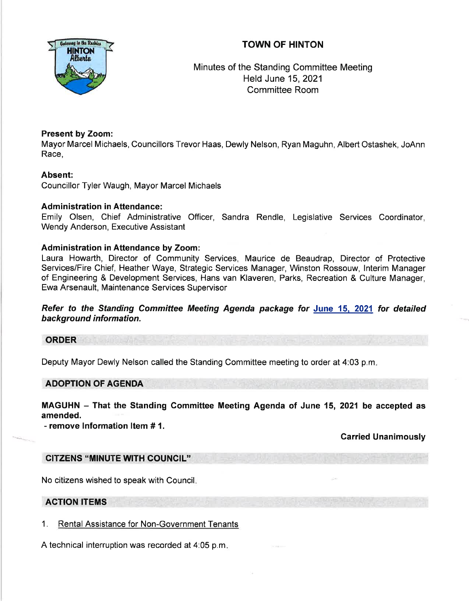# TOWN OF HINTON



Minutes of the Standing Committee Meeting Held June 15,2021 Committee Room

### Present by Zoom:

Mayor Marcel Michaels, Councillors Trevor Haas, Dewly Nelson, Ryan Maguhn, Albert Ostashek, JoAnn Race,

### Absent:

Councillor Tyler Waugh, Mayor Marcel Michaels

#### Administration in Attendance:

Emily Olsen, Chief Administrative Officer, Sandra Rendle, Legislative Services Coordinator, Wendy Anderson, Executive Assistant

#### Administration in Attendance by Zoom:

Laura Howarth, Director of Community Services, Maurice de Beaudrap, Director of Protective Services/Fire Chief, Heather Waye, Strategic Services Manager, Winston Rossouw, lnterim Manager of Engineering & Development Services, Hans van Klaveren, Parks, Recreation & Culture Manager, Ewa Arsenault, Maintenance Services Supervisor

Refer to the Standing Committee Meeting Agenda package for June 15. 2021 for detailed background information.

## ORDER

Deputy Mayor Dewly Nelson called the Standing Committee meeting to order at 4:03 p.m

#### ADOPTION OF AGENDA

MAGUHN - That the Standing Committee Meeting Agenda of June 15, 2021 be accepted as amended.

- remove Information ltem # 1.

#### Carried Unanimously

#### CITZENS "MINUTE WITH COUNCIL"

No citizens wished to speak with Council

#### ACTION ITEMS

1. Rental Assistance for Non-Government Tenants

A technical interruption was recorded at 4:05 p.m